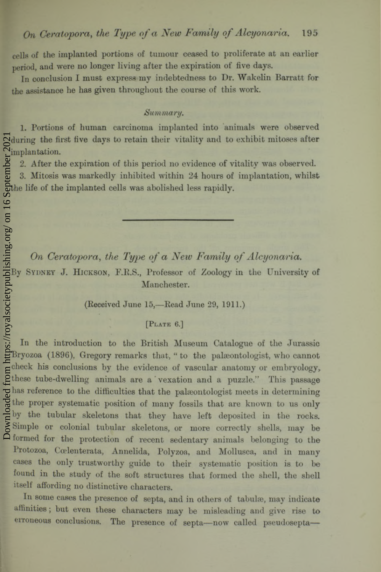cells of the implanted portions of tumour ceased to proliferate at an earlier period, and were no longer living after the expiration of five days.

In conclusion I must express my indebtedness to Dr. Wakelin Barratt for the assistance he has given throughout the course of this work.

### *Summary.*

1. Portions of human carcinoma implanted into animals were observed during the first five days to retain their vitality and to exhibit mitoses after implantation.

2. After the expiration of this period no evidence of vitality was observed.

3. Mitosis was markedly inhibited within 24 hours of implantation, whilst the life of the implanted cells was abolished less rapidly.

*On Ceratopora***,** *the Type of a New Family of Alcyonaria.*

By SYDNEY J. HICKSON, F.R.S., Professor of Zoology in the University of Manchester.

(Received June 15,—Read June 29, 1911.)

### **[Plate 6.]**

In the introduction to the British Museum Catalogue of the Jurassic Bryozoa (1896), Gregory remarks that, " to the palaeontologist, who cannot check his conclusions by the evidence of vascular anatomy or embryology, these tube-dwelling animals are a vexation and a puzzle." This passage has reference to the difficulties that the palaeontologist meets in determining the proper systematic position of many fossils that are known to us only by the tubular skeletons that they have left deposited in the rocks. Simple or colonial tubular skeletons, or more correctly shells, may be formed for the protection of recent sedentary animals belonging to the Protozoa, Cœlenterata, Annelida, Polyzoa, and Mollusca, and in many cases the only trustworthy guide to their systematic position is to be found in the study of the soft structures that formed the shell, the shell itself affording no distinctive characters.

In some cases the presence of septa, and in others of tabulæ, may indicate affinities; but even these characters may be misleading and give rise to erroneous conclusions. The presence of septa—now called pseudosepta—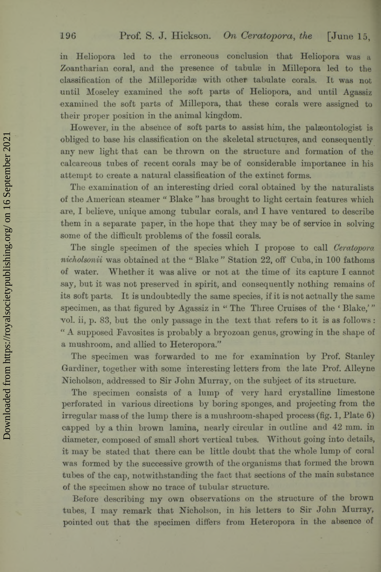## 196 Prof. S. J. Hickson. On Ceratopora, the [June 15,

in Heliopora led to the erroneous conclusion that Heliopora was a Zoantharian coral, and the presence of tabulae in Millepora led to the classification of the Milleporidae with other tabulate corals. It was not until Moseley examined the soft parts of Heliopora, and until Agassiz examined the soft parts of Millepora, that these corals were assigned to their proper position in the animal kingdom.

However, in the absence of soft parts to assist him, the palaeontologist is obliged to base his classification on the skeletal structures, and consequently any new light that can be thrown on the structure and formation of the calcareous tubes of recent corals may be of considerable importance in his attempt to create a natural classification of the extinct forms.

The examination of an interesting dried coral obtained by the naturalists of the American steamer " Blake " has brought to light certain features which are, I believe, unique among tubular corals, and I have ventured to describe them in a separate paper, in the hope that they may he of service in solving some of the difficult problems of the fossil corals.

The single specimen of the species which I propose to call *Ceratopora nicholsonii* was obtained at the " Blake " Station 22, off Cuba, in 100 fathoms of water. W hether it was alive or not at the time of its capture I cannot say, but it was not preserved in spirit, and consequently nothing remains of its soft parts. It is undoubtedly the same species, if it is not actually the same specimen, as that figured by Agassiz in "The Three Cruises of the 'Blake,'" vol. ii, p. 83, but the only passage in the text that refers to it is as follows: " A supposed Favosites is probably a bryozoan genus, growing in the shape of a mushroom, and allied to Heteropora."

The specimen was forwarded to me for examination by Prof. Stanley Gardiner, together with some interesting letters from the late Prof. Alleyne Nicholson, addressed to Sir John Murray, on the subject of its structure.

The specimen consists of a lump of very hard crystalline limestone perforated in various directions by boring sponges, and projecting from the irregular mass of the lump there is a mushroom-shaped process (fig. 1, Plate 6) capped by a thin brown lamina, nearly circular in outline and 42 mm. in diameter, composed of small short vertical tubes. Without going into details, it may be stated that there can be little doubt that the whole lump of coral was formed by the successive growth of the organisms that formed the brown tubes of the cap, notwithstanding the fact that sections of the main substance of the specimen show no trace of tubular structure.

Before describing my own observations on the structure of the brown tubes, I may remark that Nicholson, in his letters to Sir John Murray, pointed out that the specimen differs from Heteropora in the absence of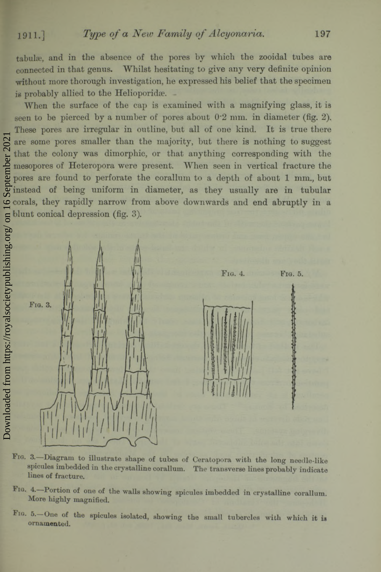Downloaded from https://royalsocietypublishing.org/ on 16 September 2021

September 2021

tabulae, and in the absence of the pores by which the zooidal tubes are connected in that genus. W hilst hesitating to give any very definite opinion without more thorough investigation, he expressed his belief that the specimen is probably allied to the Helioporidae.

When the surface of the cap is examined with a magnifying glass, it is seen to be pierced by a number of pores about  $0.2$  mm. in diameter (fig. 2), These pores are irregular in outline, but all of one kind. It is true there are some pores smaller than the majority, but there is nothing to suggest that the colony was dimorphic, or that anything corresponding with the mesopores of Heteropora were present. When seen in vertical fracture the pores are found to perforate the corallum to a depth of about 1 mm., but instead of being uniform in diameter, as they usually are in tubular corals, they rapidly narrow from above downwards and end abruptly in a blunt conical depression (fig. 3).



- **Fig. 3. Diagram to illustrate shape of tubes of Ceratopora with the long needle-like spicules imbedded in the crystalline corallum. The transverse lines probably indicate lines of fracture.**
- **Fig. 4. Portion of one of the walls showing spicules imbedded in crystalline corallum. More highly magnified.**
- **Fig. 5. One of the spicules isolated, showing the small tubercles with which it is ornamented.**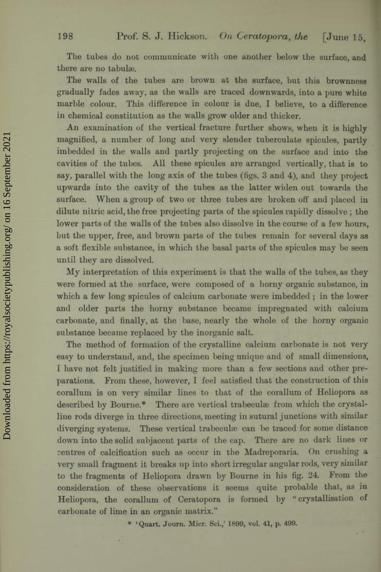The tubes do not communicate with one another below the surface, and there are no tabulae.

The walls of the tubes are brown at the surface, but this brownness gradually fades away, as the walls are traced downwards, into a pure white marble colour. This difference in colour is due, I believe, to a difference in chemical constitution as the walls grow older and thicker.

An examination of the vertical fracture further shows, when it is highly magnified, a number of long and very slender tuberculate spicules, partly imbedded in the walls and partly projecting on the surface and into the cavities of the tubes. All these spicules are arranged vertically, that is to say, parallel with the long axis of the tubes (figs. 3 and 4), and they project upwards into the cavity of the tubes as the latter widen out towards the surface. When a group of two or three tubes are broken off and placed in dilute nitric acid, the free projecting parts of the spicules rapidly dissolve; the lower parts of the walls of the tubes also dissolve in the course of a few hours, but the upper, free, and brown parts of the tubes remain for several days as a soft flexible substance, in which the basal parts of the spicules may be seen until they are dissolved.

My interpretation of this experiment is that the walls of the tubes, as they were formed at the surface, were composed of a horny organic substance, in which a few long spicules of calcium carbonate were imbedded; in the lower and older parts the horny substance became impregnated with calcium carbonate, and finally, at the base, nearly the whole of the horny organic substance became replaced by the inorganic salt.

The method of formation of the crystalline calcium carbonate is not very easy to understand, and, the specimen being unique and of small dimensions, I have not felt justified in making more than a few sections and other preparations. From these, however, I feel satisfied that the construction of this corallum is on very similar lines to that of the corallum of Heliopora as described by Bourne.\* There are vertical trabeculae from which the crystalline rods diverge in three directions, meeting in sutural junctions with similar diverging systems. These vertical trabeculae can be traced for some distance down into the solid subjacent parts of the cap. There are no dark lines or centres of calcification such as occur in the Madreporaria. On crushing a very small fragment it breaks up into short irregular angular rods, very similar to the fragments of Heliopora drawn by Bourne in his fig. 24. From the consideration of these observations it seems quite probable that, as in Heliopora, the corallum of Ceratopora is formed by " crystallisation of carbonate of lime in an organic matrix."

**\* 'Quart. Journ. Micr. Sci.,' 1899, vol. 41, p. 499.**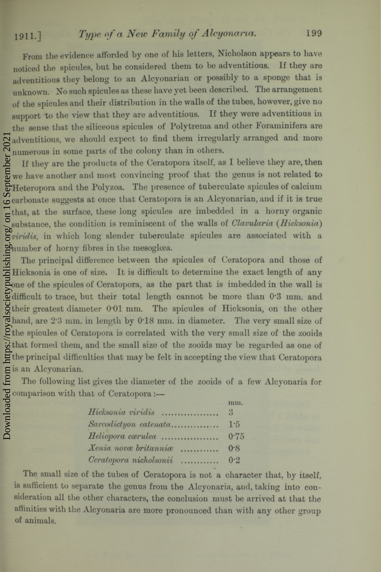# 1911.] *Type of a New Family of Alcyonaria.*

From the evidence afforded by one of his letters, Nicholson appears to have noticed the spicules, but he considered them to be adventitious. If they are adventitious they belong to an Alcyonarian or possibly to a sponge that is unknown. No such spicules as these have yet been described. The arrangement of the spicules and their distribution in the walls of the tubes, however, give no support to the view that they are adventitious. If they were adventitious in the sense that the siliceous spicules of Polytrema and other Foraminifera are adventitious, we should expect to find them irregularly arranged and more numerous in some parts of the colony than in others.

If they are the products of the Ceratopora itself, as I believe they are, then we have another and most convincing proof that the genus is not related to Heteropora and the Polyzoa. The presence of tuberculate spicules of calcium carbonate suggests at once that Ceratopora is an Alcyonarian, and if it is true that, at the surface, these long spicules are imbedded in a horny organic substance, the condition is reminiscent of the walls of *Clavularia* (*Hicksonia*) *viridis,* in which long slender tuberculate spicules are associated with a number of horny fibres in the mesoglœa. Downloaded from https://royalsocietypublishing.org/ on 16 September 2021

The principal difference between the spicules of Ceratopora and those of Hicksonia is one of size. It is difficult to determine the exact length of any one of the spicules of Ceratopora, as the part that is imbedded in the wall is difficult to trace, but their total length cannot be more than 0\*3 mm. and their greatest diameter OOl mm. The spicules of Hicksonia, on the other  $\vec{e}$  hand, are 2.3 mm. in length by 0.18 mm. in diameter. The very small size of the spicules of Ceratopora is correlated with the very small size of the zooids that formed them, and the small size of the zooids may be regarded as one of the principal difficulties that may be felt in accepting the view that Ceratopora is an Alcyonarian.

The following list gives the diameter of the zooids of a few Alcyonaria for comparison with that of Ceratopora:—

|                           | mm.  |
|---------------------------|------|
|                           |      |
| Sarcodictyon catenata 1.5 |      |
| Heliopora carulea         | 0.75 |
| Xenia nova britannia      | 0.8  |
| Ceratopora nicholsonii    | 0.2  |

The small size of the tubes of Ceratopora is not a character that, by itself, is sufficient to separate the genus from the Alcyonaria, and, taking into consideration all the other characters, the conclusion must be arrived at that the affinities with the Alcyonaria are more pronounced than with any other group of animals.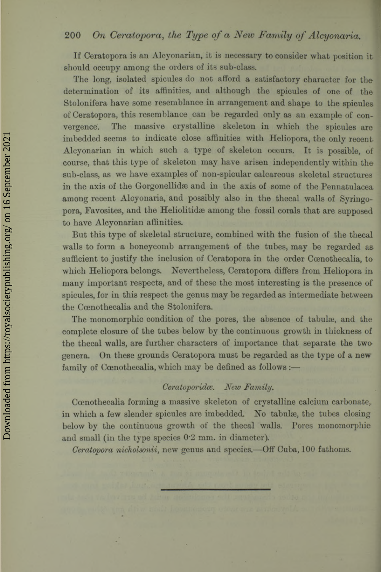## **200** *On Ceratopora, the Type of a New Family of Alcyonaria.*

If Ceratopora is an Alcyonarian, it is necessary to consider what position it should occupy among the orders of its sub-class.

The long, isolated spicules do not afford a satisfactory character for the determination of its affinities, and although the spicules of one of the Stolonifera have some resemblance in arrangement and shape to the spicules of Ceratopora, this resemblance can be regarded only as an example of convergence. The massive crystalline skeleton in which the spicules are imbedded seems to indicate close affinities with Heliopora, the only recent. Alcyonarian in which such a type of skeleton occurs. It is possible, of course, that this type of skeleton may have arisen independently within the sub-class, as we have examples of non-spicular calcareous skeletal structures in the axis of the Gorgonellidse and in the axis of some of the Pennatulacea. among recent Alcyonaria, and possibly also in the thecal walls of Syringopora, Favosites, and the Heliolitidæ among the fossil corals that are supposed to have Alcyonarian affinities.

But this type of skeletal structure, combined with the fusion of the thecal walls to form a honeycomb arrangement of the tubes, may be regarded assufficient to justify the inclusion of Ceratopora in the order Cœnothecalia, to which Heliopora belongs. Nevertheless, Ceratopora differs from Heliopora in many important respects, and of these the most interesting is the presence of spicules, for in this respect the genus may be regarded as intermediate between the Cœnothecalia and the Stolonifera.

The monomorphic condition of the pores, the absence of tabulae, and the complete closure of the tubes below by the continuous growth in thickness of the thecal walls, are further characters of importance that separate the two genera. On these grounds Ceratopora must be regarded as the type of a new family of Cœnothecalia, which may be defined as follows:-

## *Ceratoporidce. New* .

Ccenothecalia forming a massive skeleton of crystalline calcium carbonate, in which a few slender spicules are imbedded. No tabulæ, the tubes closing below by the continuous growth of the thecal walls. Pores monomorphic and small (in the type species 0'2 mm. in diameter).

*Ceratopora nicholsonii*, new genus and species.—Off Cuba, 100 fathoms.